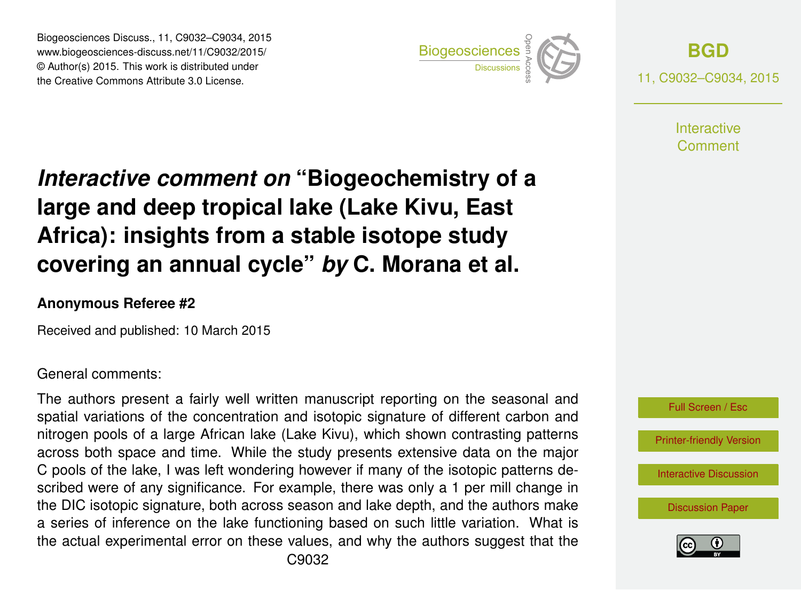Biogeosciences Discuss., 11, C9032–C9034, 2015 www.biogeosciences-discuss.net/11/C9032/2015/ © Author(s) 2015. This work is distributed under Biogeosciences Discuss., 11, C9032–C9034, 2015<br>
www.biogeosciences-discuss.net/11/C9032/2015/<br>
© Author(s) 2015. This work is distributed under<br>
the Creative Commons Attribute 3.0 License.



**[BGD](http://www.biogeosciences-discuss.net)** 11, C9032–C9034, 2015

> **Interactive** Comment

## *Interactive comment on* **"Biogeochemistry of a large and deep tropical lake (Lake Kivu, East Africa): insights from a stable isotope study covering an annual cycle"** *by* **C. Morana et al.**

## **Anonymous Referee #2**

Received and published: 10 March 2015

## General comments:

The authors present a fairly well written manuscript reporting on the seasonal and spatial variations of the concentration and isotopic signature of different carbon and nitrogen pools of a large African lake (Lake Kivu), which shown contrasting patterns across both space and time. While the study presents extensive data on the major C pools of the lake, I was left wondering however if many of the isotopic patterns described were of any significance. For example, there was only a 1 per mill change in the DIC isotopic signature, both across season and lake depth, and the authors make a series of inference on the lake functioning based on such little variation. What is the actual experimental error on these values, and why the authors suggest that the



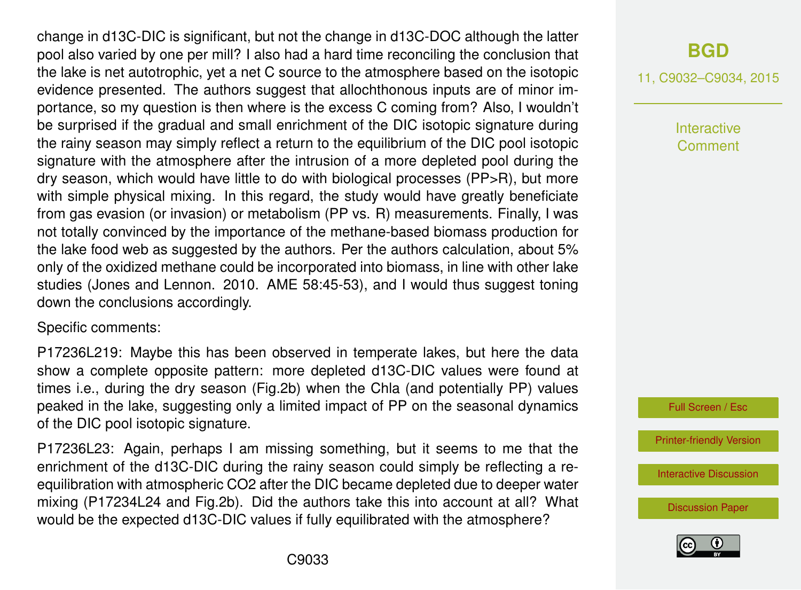change in d13C-DIC is significant, but not the change in d13C-DOC although the latter pool also varied by one per mill? I also had a hard time reconciling the conclusion that the lake is net autotrophic, yet a net C source to the atmosphere based on the isotopic evidence presented. The authors suggest that allochthonous inputs are of minor importance, so my question is then where is the excess C coming from? Also, I wouldn't be surprised if the gradual and small enrichment of the DIC isotopic signature during the rainy season may simply reflect a return to the equilibrium of the DIC pool isotopic signature with the atmosphere after the intrusion of a more depleted pool during the dry season, which would have little to do with biological processes (PP>R), but more with simple physical mixing. In this regard, the study would have greatly beneficiate from gas evasion (or invasion) or metabolism (PP vs. R) measurements. Finally, I was not totally convinced by the importance of the methane-based biomass production for the lake food web as suggested by the authors. Per the authors calculation, about 5% only of the oxidized methane could be incorporated into biomass, in line with other lake studies (Jones and Lennon. 2010. AME 58:45-53), and I would thus suggest toning down the conclusions accordingly.

Specific comments:

P17236L219: Maybe this has been observed in temperate lakes, but here the data show a complete opposite pattern: more depleted d13C-DIC values were found at times i.e., during the dry season (Fig.2b) when the Chla (and potentially PP) values peaked in the lake, suggesting only a limited impact of PP on the seasonal dynamics of the DIC pool isotopic signature.

P17236L23: Again, perhaps I am missing something, but it seems to me that the enrichment of the d13C-DIC during the rainy season could simply be reflecting a reequilibration with atmospheric CO2 after the DIC became depleted due to deeper water mixing (P17234L24 and Fig.2b). Did the authors take this into account at all? What would be the expected d13C-DIC values if fully equilibrated with the atmosphere?

## **[BGD](http://www.biogeosciences-discuss.net)**

11, C9032–C9034, 2015

Interactive Comment



[Printer-friendly Version](http://www.biogeosciences-discuss.net/11/C9032/2015/bgd-11-C9032-2015-print.pdf)

[Interactive Discussion](http://www.biogeosciences-discuss.net/11/17227/2014/bgd-11-17227-2014-discussion.html)

[Discussion Paper](http://www.biogeosciences-discuss.net/11/17227/2014/bgd-11-17227-2014.pdf)